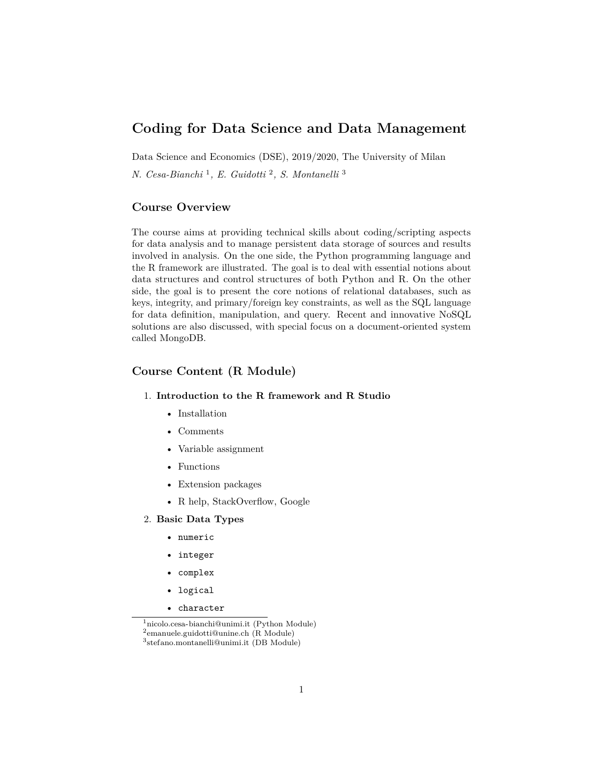# **Coding for Data Science and Data Management**

Data Science and Economics (DSE), 2019/2020, The University of Milan

*N. Cesa-Bianchi* [1](#page-0-0) *, E. Guidotti* [2](#page-0-1) *, S. Montanelli* [3](#page-0-2)

#### **Course Overview**

The course aims at providing technical skills about coding/scripting aspects for data analysis and to manage persistent data storage of sources and results involved in analysis. On the one side, the Python programming language and the R framework are illustrated. The goal is to deal with essential notions about data structures and control structures of both Python and R. On the other side, the goal is to present the core notions of relational databases, such as keys, integrity, and primary/foreign key constraints, as well as the SQL language for data definition, manipulation, and query. Recent and innovative NoSQL solutions are also discussed, with special focus on a document-oriented system called MongoDB.

## **Course Content (R Module)**

#### 1. **Introduction to the R framework and R Studio**

- Installation
- Comments
- Variable assignment
- Functions
- Extension packages
- R help, StackOverflow, Google

2. **Basic Data Types**

- numeric
- integer
- complex
- logical
- character

<span id="page-0-0"></span><sup>1</sup>[nicolo.cesa-bianchi@unimi.it](mailto:nicolo.cesa-bianchi@unimi.it) (Python Module)

<span id="page-0-1"></span> $^2$ [emanuele.guidotti@unine.ch](mailto:emanuele.guidotti@unine.ch) $(\mathrm{R}\ \mathrm{Module})$ 

<span id="page-0-2"></span><sup>3</sup> [stefano.montanelli@unimi.it](mailto:stefano.montanelli@unimi.it) (DB Module)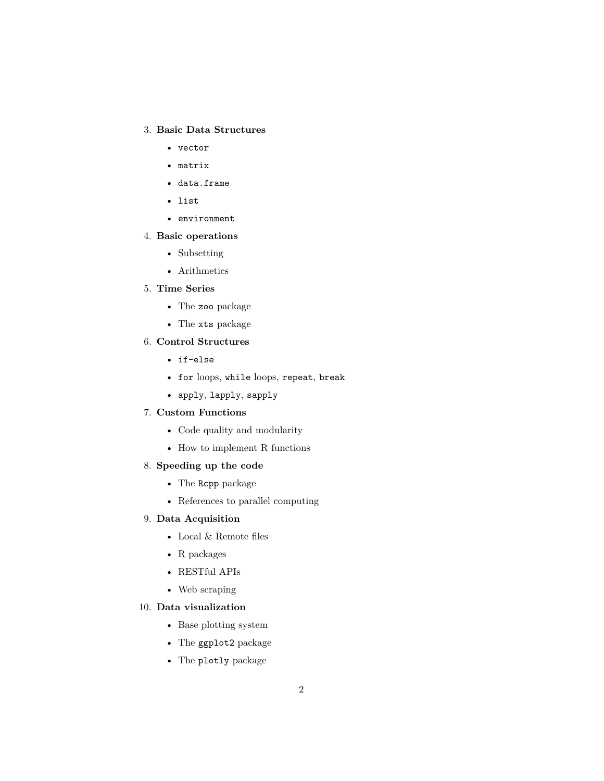## 3. **Basic Data Structures**

- vector
- matrix
- data.frame
- list
- environment

### 4. **Basic operations**

- Subsetting
- Arithmetics

### 5. **Time Series**

- The zoo package
- The xts package

## 6. **Control Structures**

- if-else
- for loops, while loops, repeat, break
- apply, lapply, sapply

## 7. **Custom Functions**

- Code quality and modularity
- $\bullet~$  How to implement R functions
- 8. **Speeding up the code**
	- The Rcpp package
	- References to parallel computing

#### 9. **Data Acquisition**

- Local & Remote files
- R packages
- RESTful APIs
- Web scraping

#### 10. **Data visualization**

- Base plotting system
- The ggplot2 package
- The plotly package